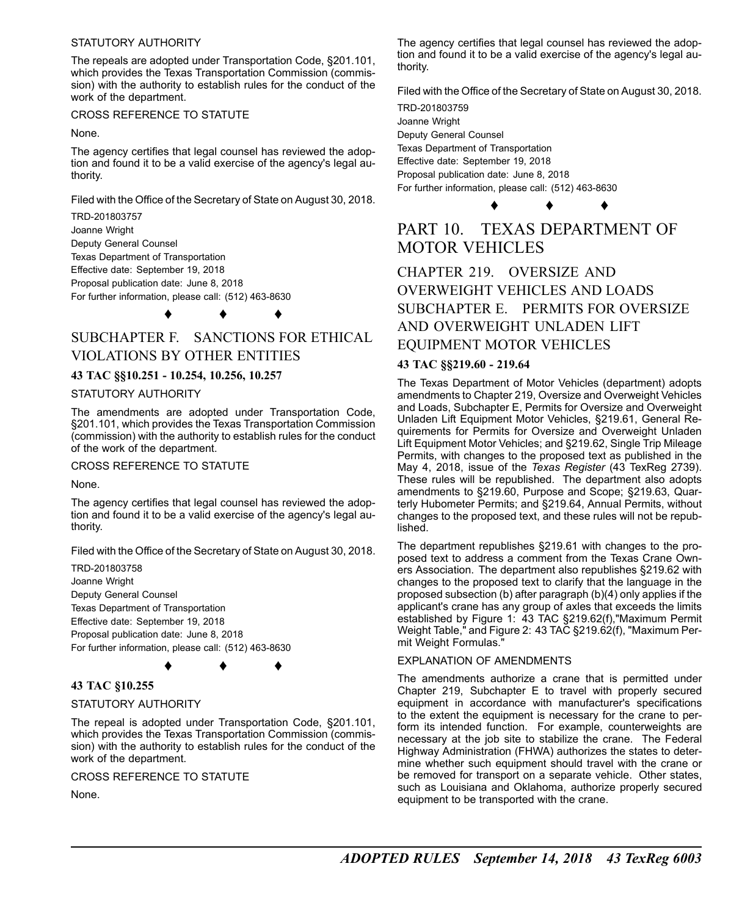### STATUTORY AUTHORITY

The repeals are adopted under Transportation Code, §201.101, which provides the Texas Transportation Commission (commission) with the authority to establish rules for the conduct of the work of the department.

### CROSS REFERENCE TO STATUTE

None.

The agency certifies that legal counsel has reviewed the adoption and found it to be a valid exercise of the agency's legal authority.

Filed with the Office of the Secretary of State on August 30, 2018.

TRD-201803757 Joanne Wright Deputy General Counsel Texas Department of Transportation Effective date: September 19, 2018 Proposal publication date: June 8, 2018 For further information, please call: (512) 463-8630

♦ ♦ ♦

# SUBCHAPTER F. SANCTIONS FOR ETHICAL VIOLATIONS BY OTHER ENTITIES

# **43 TAC §§10.251 - 10.254, 10.256, 10.257**

#### STATUTORY AUTHORITY

The amendments are adopted under Transportation Code, §201.101, which provides the Texas Transportation Commission (commission) with the authority to establish rules for the conduct of the work of the department.

CROSS REFERENCE TO STATUTE

None.

The agency certifies that legal counsel has reviewed the adoption and found it to be a valid exercise of the agency's legal authority.

Filed with the Office of the Secretary of State on August 30, 2018.

TRD-201803758 Joanne Wright Deputy General Counsel Texas Department of Transportation Effective date: September 19, 2018 Proposal publication date: June 8, 2018 For further information, please call: (512) 463-8630

♦ ♦ ♦

# **43 TAC §10.255**

### STATUTORY AUTHORITY

The repeal is adopted under Transportation Code, §201.101, which provides the Texas Transportation Commission (commission) with the authority to establish rules for the conduct of the work of the department.

CROSS REFERENCE TO STATUTE

None.

The agency certifies that legal counsel has reviewed the adoption and found it to be a valid exercise of the agency's legal authority.

Filed with the Office of the Secretary of State on August 30, 2018.

TRD-201803759 Joanne Wright Deputy General Counsel Texas Department of Transportation Effective date: September 19, 2018 Proposal publication date: June 8, 2018 For further information, please call: (512) 463-8630

# PART 10. TEXAS DEPARTMENT OF MOTOR VEHICLES

♦ ♦ ♦

# CHAPTER 219. OVERSIZE AND OVERWEIGHT VEHICLES AND LOADS SUBCHAPTER E. PERMITS FOR OVERSIZE AND OVERWEIGHT UNLADEN LIFT EQUIPMENT MOTOR VEHICLES

### **43 TAC §§219.60 - 219.64**

The Texas Department of Motor Vehicles (department) adopts amendments to Chapter 219, Oversize and Overweight Vehicles and Loads, Subchapter E, Permits for Oversize and Overweight Unladen Lift Equipment Motor Vehicles, §219.61, General Requirements for Permits for Oversize and Overweight Unladen Lift Equipment Motor Vehicles; and §219.62, Single Trip Mileage Permits, with changes to the proposed text as published in the May 4, 2018, issue of the *Texas Register* (43 TexReg 2739). These rules will be republished. The department also adopts amendments to §219.60, Purpose and Scope; §219.63, Quarterly Hubometer Permits; and §219.64, Annual Permits, without changes to the proposed text, and these rules will not be republished.

The department republishes §219.61 with changes to the proposed text to address a comment from the Texas Crane Owners Association. The department also republishes §219.62 with changes to the proposed text to clarify that the language in the proposed subsection (b) after paragraph (b)(4) only applies if the applicant's crane has any group of axles that exceeds the limits established by Figure 1: 43 TAC §219.62(f),"Maximum Permit Weight Table," and Figure 2: 43 TAC §219.62(f), "Maximum Permit Weight Formulas."

### EXPLANATION OF AMENDMENTS

The amendments authorize a crane that is permitted under Chapter 219, Subchapter E to travel with properly secured equipment in accordance with manufacturer's specifications to the extent the equipment is necessary for the crane to perform its intended function. For example, counterweights are necessary at the job site to stabilize the crane. The Federal Highway Administration (FHWA) authorizes the states to determine whether such equipment should travel with the crane or be removed for transport on a separate vehicle. Other states, such as Louisiana and Oklahoma, authorize properly secured equipment to be transported with the crane.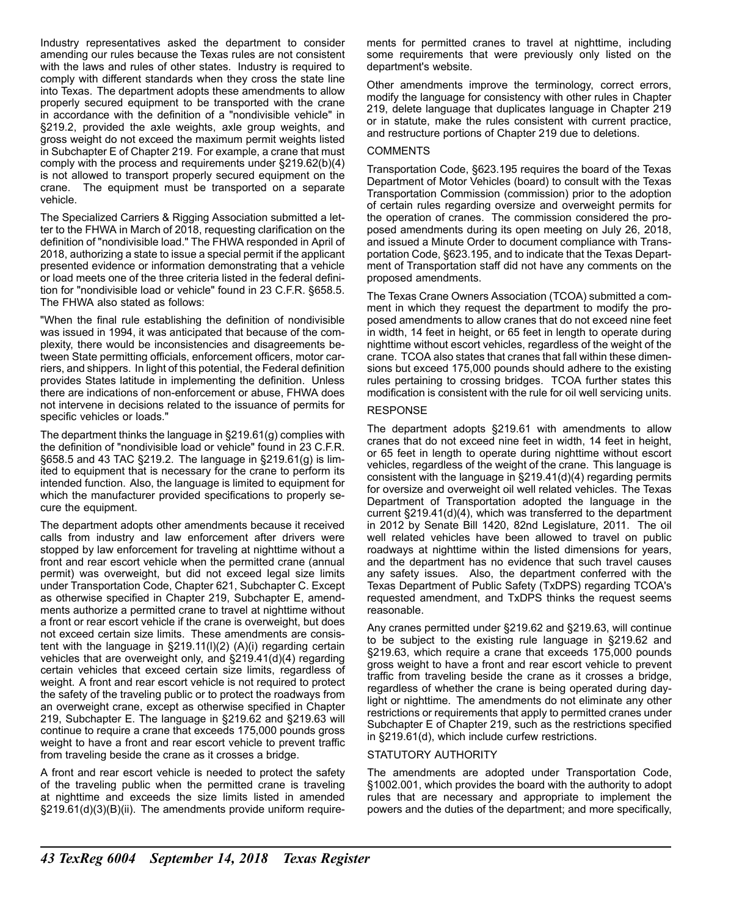Industry representatives asked the department to consider amending our rules because the Texas rules are not consistent with the laws and rules of other states. Industry is required to comply with different standards when they cross the state line into Texas. The department adopts these amendments to allow properly secured equipment to be transported with the crane in accordance with the definition of a "nondivisible vehicle" in §219.2, provided the axle weights, axle group weights, and gross weight do not exceed the maximum permit weights listed in Subchapter E of Chapter 219. For example, a crane that must comply with the process and requirements under §219.62(b)(4) is not allowed to transport properly secured equipment on the crane. The equipment must be transported on a separate vehicle.

The Specialized Carriers & Rigging Association submitted a letter to the FHWA in March of 2018, requesting clarification on the definition of "nondivisible load." The FHWA responded in April of 2018, authorizing a state to issue a special permit if the applicant presented evidence or information demonstrating that a vehicle or load meets one of the three criteria listed in the federal definition for "nondivisible load or vehicle" found in 23 C.F.R. §658.5. The FHWA also stated as follows:

"When the final rule establishing the definition of nondivisible was issued in 1994, it was anticipated that because of the complexity, there would be inconsistencies and disagreements between State permitting officials, enforcement officers, motor carriers, and shippers. In light of this potential, the Federal definition provides States latitude in implementing the definition. Unless there are indications of non-enforcement or abuse, FHWA does not intervene in decisions related to the issuance of permits for specific vehicles or loads."

The department thinks the language in §219.61(g) complies with the definition of "nondivisible load or vehicle" found in 23 C.F.R. §658.5 and 43 TAC §219.2. The language in §219.61(g) is limited to equipment that is necessary for the crane to perform its intended function. Also, the language is limited to equipment for which the manufacturer provided specifications to properly secure the equipment.

The department adopts other amendments because it received calls from industry and law enforcement after drivers were stopped by law enforcement for traveling at nighttime without a front and rear escort vehicle when the permitted crane (annual permit) was overweight, but did not exceed legal size limits under Transportation Code, Chapter 621, Subchapter C. Except as otherwise specified in Chapter 219, Subchapter E, amendments authorize a permitted crane to travel at nighttime without a front or rear escort vehicle if the crane is overweight, but does not exceed certain size limits. These amendments are consistent with the language in §219.11(l)(2) (A)(i) regarding certain vehicles that are overweight only, and §219.41(d)(4) regarding certain vehicles that exceed certain size limits, regardless of weight. A front and rear escort vehicle is not required to protect the safety of the traveling public or to protect the roadways from an overweight crane, except as otherwise specified in Chapter 219, Subchapter E. The language in §219.62 and §219.63 will continue to require a crane that exceeds 175,000 pounds gross weight to have a front and rear escort vehicle to prevent traffic from traveling beside the crane as it crosses a bridge.

A front and rear escort vehicle is needed to protect the safety of the traveling public when the permitted crane is traveling at nighttime and exceeds the size limits listed in amended §219.61(d)(3)(B)(ii). The amendments provide uniform requirements for permitted cranes to travel at nighttime, including some requirements that were previously only listed on the department's website.

Other amendments improve the terminology, correct errors, modify the language for consistency with other rules in Chapter 219, delete language that duplicates language in Chapter 219 or in statute, make the rules consistent with current practice, and restructure portions of Chapter 219 due to deletions.

### COMMENTS

Transportation Code, §623.195 requires the board of the Texas Department of Motor Vehicles (board) to consult with the Texas Transportation Commission (commission) prior to the adoption of certain rules regarding oversize and overweight permits for the operation of cranes. The commission considered the proposed amendments during its open meeting on July 26, 2018, and issued a Minute Order to document compliance with Transportation Code, §623.195, and to indicate that the Texas Department of Transportation staff did not have any comments on the proposed amendments.

The Texas Crane Owners Association (TCOA) submitted a comment in which they request the department to modify the proposed amendments to allow cranes that do not exceed nine feet in width, 14 feet in height, or 65 feet in length to operate during nighttime without escort vehicles, regardless of the weight of the crane. TCOA also states that cranes that fall within these dimensions but exceed 175,000 pounds should adhere to the existing rules pertaining to crossing bridges. TCOA further states this modification is consistent with the rule for oil well servicing units.

### RESPONSE

The department adopts §219.61 with amendments to allow cranes that do not exceed nine feet in width, 14 feet in height, or 65 feet in length to operate during nighttime without escort vehicles, regardless of the weight of the crane. This language is consistent with the language in §219.41(d)(4) regarding permits for oversize and overweight oil well related vehicles. The Texas Department of Transportation adopted the language in the current §219.41(d)(4), which was transferred to the department in 2012 by Senate Bill 1420, 82nd Legislature, 2011. The oil well related vehicles have been allowed to travel on public roadways at nighttime within the listed dimensions for years. and the department has no evidence that such travel causes any safety issues. Also, the department conferred with the Texas Department of Public Safety (TxDPS) regarding TCOA's requested amendment, and TxDPS thinks the request seems reasonable.

Any cranes permitted under §219.62 and §219.63, will continue to be subject to the existing rule language in §219.62 and §219.63, which require a crane that exceeds 175,000 pounds gross weight to have a front and rear escort vehicle to prevent traffic from traveling beside the crane as it crosses a bridge, regardless of whether the crane is being operated during daylight or nighttime. The amendments do not eliminate any other restrictions or requirements that apply to permitted cranes under Subchapter E of Chapter 219, such as the restrictions specified in §219.61(d), which include curfew restrictions.

### STATUTORY AUTHORITY

The amendments are adopted under Transportation Code, §1002.001, which provides the board with the authority to adopt rules that are necessary and appropriate to implement the powers and the duties of the department; and more specifically,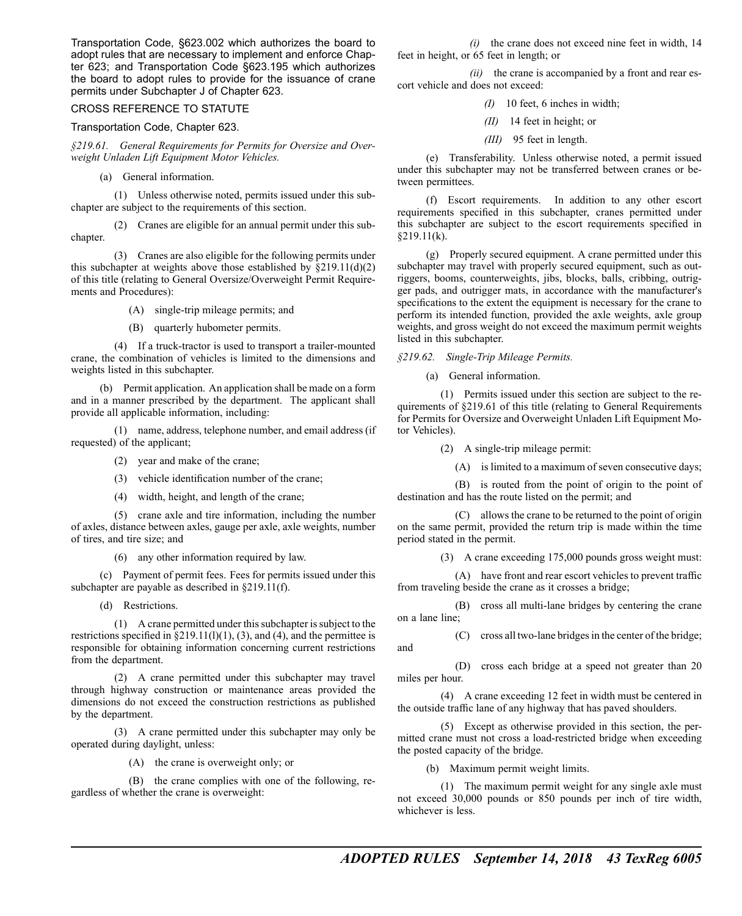Transportation Code, §623.002 which authorizes the board to adopt rules that are necessary to implement and enforce Chapter 623; and Transportation Code §623.195 which authorizes the board to adopt rules to provide for the issuance of crane permits under Subchapter J of Chapter 623.

### CROSS REFERENCE TO STATUTE

### Transportation Code, Chapter 623.

*§219.61. General Requirements for Permits for Oversize and Overweight Unladen Lift Equipment Motor Vehicles.*

(a) General information.

(1) Unless otherwise noted, permits issued under this subchapter are subject to the requirements of this section.

(2) Cranes are eligible for an annual permit under this subchapter.

- (3) Cranes are also eligible for the following permits under this subchapter at weights above those established by  $\S219.11(d)(2)$ of this title (relating to General Oversize/Overweight Permit Requirements and Procedures):
	- (A) single-trip mileage permits; and
	- (B) quarterly hubometer permits.

(4) If a truck-tractor is used to transport a trailer-mounted crane, the combination of vehicles is limited to the dimensions and weights listed in this subchapter.

(b) Permit application. An application shall be made on a form and in a manner prescribed by the department. The applicant shall provide all applicable information, including:

(1) name, address, telephone number, and email address (if requested) of the applicant;

- (2) year and make of the crane;
- (3) vehicle identification number of the crane;
- (4) width, height, and length of the crane;

(5) crane axle and tire information, including the number of axles, distance between axles, gauge per axle, axle weights, number of tires, and tire size; and

(6) any other information required by law.

(c) Payment of permit fees. Fees for permits issued under this subchapter are payable as described in §219.11(f).

(d) Restrictions.

(1) A crane permitted under thissubchapter issubject to the restrictions specified in  $\S219.11(1)(1)$ , (3), and (4), and the permittee is responsible for obtaining information concerning current restrictions from the department.

(2) A crane permitted under this subchapter may travel through highway construction or maintenance areas provided the dimensions do not exceed the construction restrictions as published by the department.

(3) A crane permitted under this subchapter may only be operated during daylight, unless:

(A) the crane is overweight only; or

(B) the crane complies with one of the following, regardless of whether the crane is overweight:

*(i)* the crane does not exceed nine feet in width, 14 feet in height, or 65 feet in length; or

*(ii)* the crane is accompanied by a front and rear escort vehicle and does not exceed:

- *(I)* 10 feet, 6 inches in width;
- *(II)* 14 feet in height; or
- *(III)* 95 feet in length.

(e) Transferability. Unless otherwise noted, a permit issued under this subchapter may not be transferred between cranes or between permittees.

(f) Escort requirements. In addition to any other escort requirements specified in this subchapter, cranes permitted under this subchapter are subject to the escort requirements specified in  $$219.11(k).$ 

(g) Properly secured equipment. A crane permitted under this subchapter may travel with properly secured equipment, such as outriggers, booms, counterweights, jibs, blocks, balls, cribbing, outrigger pads, and outrigger mats, in accordance with the manufacturer's specifications to the extent the equipment is necessary for the crane to perform its intended function, provided the axle weights, axle group weights, and gross weight do not exceed the maximum permit weights listed in this subchapter.

*§219.62. Single-Trip Mileage Permits.*

(a) General information.

(1) Permits issued under this section are subject to the requirements of §219.61 of this title (relating to General Requirements for Permits for Oversize and Overweight Unladen Lift Equipment Motor Vehicles).

(2) A single-trip mileage permit:

(A) is limited to a maximum of seven consecutive days;

(B) is routed from the point of origin to the point of destination and has the route listed on the permit; and

(C) allows the crane to be returned to the point of origin on the same permit, provided the return trip is made within the time period stated in the permit.

(3) A crane exceeding 175,000 pounds gross weight must:

(A) have front and rear escort vehicles to prevent traffic from traveling beside the crane as it crosses a bridge;

(B) cross all multi-lane bridges by centering the crane on a lane line;

(C) cross all two-lane bridgesin the center of the bridge;

(D) cross each bridge at a speed not greater than 20 miles per hour.

(4) A crane exceeding 12 feet in width must be centered in the outside traffic lane of any highway that has paved shoulders.

(5) Except as otherwise provided in this section, the permitted crane must not cross a load-restricted bridge when exceeding the posted capacity of the bridge.

(b) Maximum permit weight limits.

and

(1) The maximum permit weight for any single axle must not exceed 30,000 pounds or 850 pounds per inch of tire width, whichever is less.